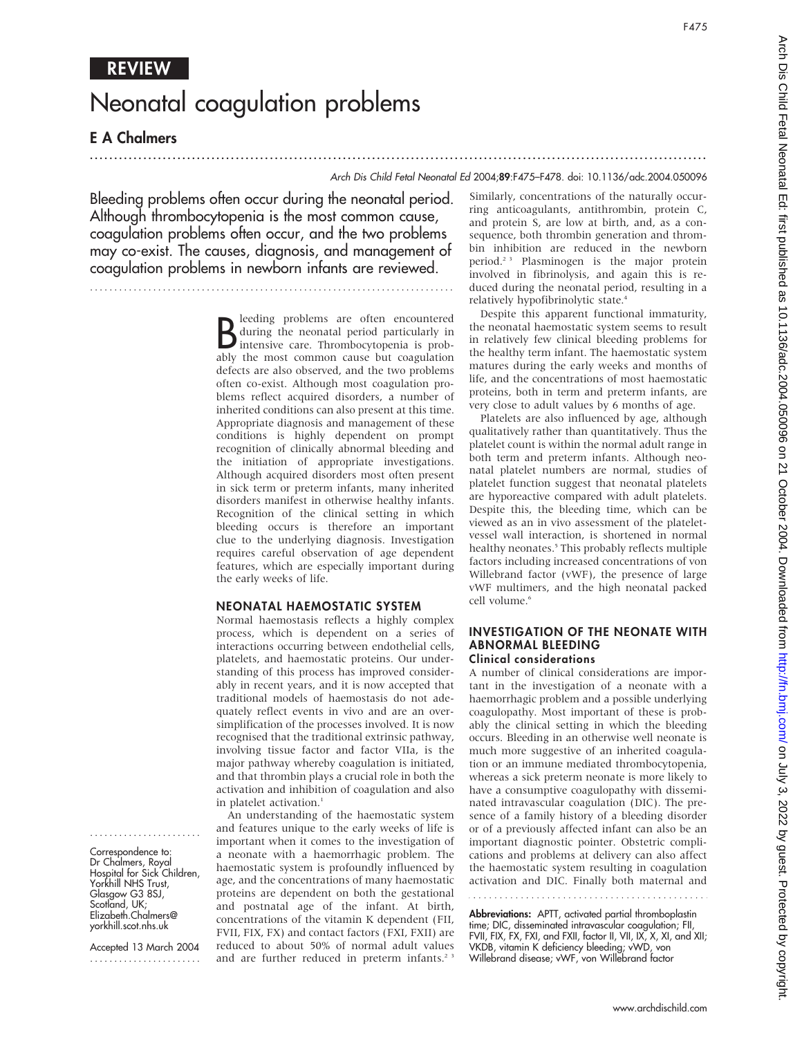

# Neonatal coagulation problems

# E A Chalmers

# Arch Dis Child Fetal Neonatal Ed 2004;89:F475–F478. doi: 10.1136/adc.2004.050096

Bleeding problems often occur during the neonatal period. Although thrombocytopenia is the most common cause, coagulation problems often occur, and the two problems may co-exist. The causes, diagnosis, and management of coagulation problems in newborn infants are reviewed.

> B leeding problems are often encountered<br>during the neonatal period particularly in<br>intensive care. Thrombocytopenia is probduring the neonatal period particularly in intensive care. Thrombocytopenia is probably the most common cause but coagulation defects are also observed, and the two problems often co-exist. Although most coagulation problems reflect acquired disorders, a number of inherited conditions can also present at this time. Appropriate diagnosis and management of these conditions is highly dependent on prompt recognition of clinically abnormal bleeding and the initiation of appropriate investigations. Although acquired disorders most often present in sick term or preterm infants, many inherited disorders manifest in otherwise healthy infants. Recognition of the clinical setting in which bleeding occurs is therefore an important clue to the underlying diagnosis. Investigation requires careful observation of age dependent features, which are especially important during the early weeks of life.

...............................................................................................................................

## NEONATAL HAEMOSTATIC SYSTEM

Normal haemostasis reflects a highly complex process, which is dependent on a series of interactions occurring between endothelial cells, platelets, and haemostatic proteins. Our understanding of this process has improved considerably in recent years, and it is now accepted that traditional models of haemostasis do not adequately reflect events in vivo and are an oversimplification of the processes involved. It is now recognised that the traditional extrinsic pathway, involving tissue factor and factor VIIa, is the major pathway whereby coagulation is initiated, and that thrombin plays a crucial role in both the activation and inhibition of coagulation and also in platelet activation.<sup>1</sup>

An understanding of the haemostatic system and features unique to the early weeks of life is important when it comes to the investigation of a neonate with a haemorrhagic problem. The haemostatic system is profoundly influenced by age, and the concentrations of many haemostatic proteins are dependent on both the gestational and postnatal age of the infant. At birth, concentrations of the vitamin K dependent (FII, FVII, FIX, FX) and contact factors (FXI, FXII) are reduced to about 50% of normal adult values and are further reduced in preterm infants.<sup>2 3</sup>

Similarly, concentrations of the naturally occurring anticoagulants, antithrombin, protein C, and protein S, are low at birth, and, as a consequence, both thrombin generation and thrombin inhibition are reduced in the newborn period.2 3 Plasminogen is the major protein involved in fibrinolysis, and again this is reduced during the neonatal period, resulting in a relatively hypofibrinolytic state.4

Despite this apparent functional immaturity, the neonatal haemostatic system seems to result in relatively few clinical bleeding problems for the healthy term infant. The haemostatic system matures during the early weeks and months of life, and the concentrations of most haemostatic proteins, both in term and preterm infants, are very close to adult values by 6 months of age.

Platelets are also influenced by age, although qualitatively rather than quantitatively. Thus the platelet count is within the normal adult range in both term and preterm infants. Although neonatal platelet numbers are normal, studies of platelet function suggest that neonatal platelets are hyporeactive compared with adult platelets. Despite this, the bleeding time, which can be viewed as an in vivo assessment of the plateletvessel wall interaction, is shortened in normal healthy neonates.<sup>5</sup> This probably reflects multiple factors including increased concentrations of von Willebrand factor (vWF), the presence of large vWF multimers, and the high neonatal packed cell volume.<sup>6</sup>

#### INVESTIGATION OF THE NEONATE WITH ABNORMAL BLEEDING Clinical considerations

A number of clinical considerations are important in the investigation of a neonate with a haemorrhagic problem and a possible underlying coagulopathy. Most important of these is probably the clinical setting in which the bleeding occurs. Bleeding in an otherwise well neonate is much more suggestive of an inherited coagulation or an immune mediated thrombocytopenia, whereas a sick preterm neonate is more likely to have a consumptive coagulopathy with disseminated intravascular coagulation (DIC). The presence of a family history of a bleeding disorder or of a previously affected infant can also be an important diagnostic pointer. Obstetric complications and problems at delivery can also affect the haemostatic system resulting in coagulation activation and DIC. Finally both maternal and 

Abbreviations: APTT, activated partial thromboplastin time; DIC, disseminated intravascular coagulation; FII, FVII, FIX, FX, FXI, and FXII, factor II, VII, IX, X, XI, and XII; VKDB, vitamin K deficiency bleeding; vWD, von Willebrand disease; vWF, von Willebrand factor

Correspondence to: Dr Chalmers, Royal Hospital for Sick Children, Yorkhill NHS Trust, Glasgow G3 8SJ, Scotland, UK; Elizabeth.Chalmers@ yorkhill.scot.nhs.uk

.......................

Accepted 13 March 2004 .......................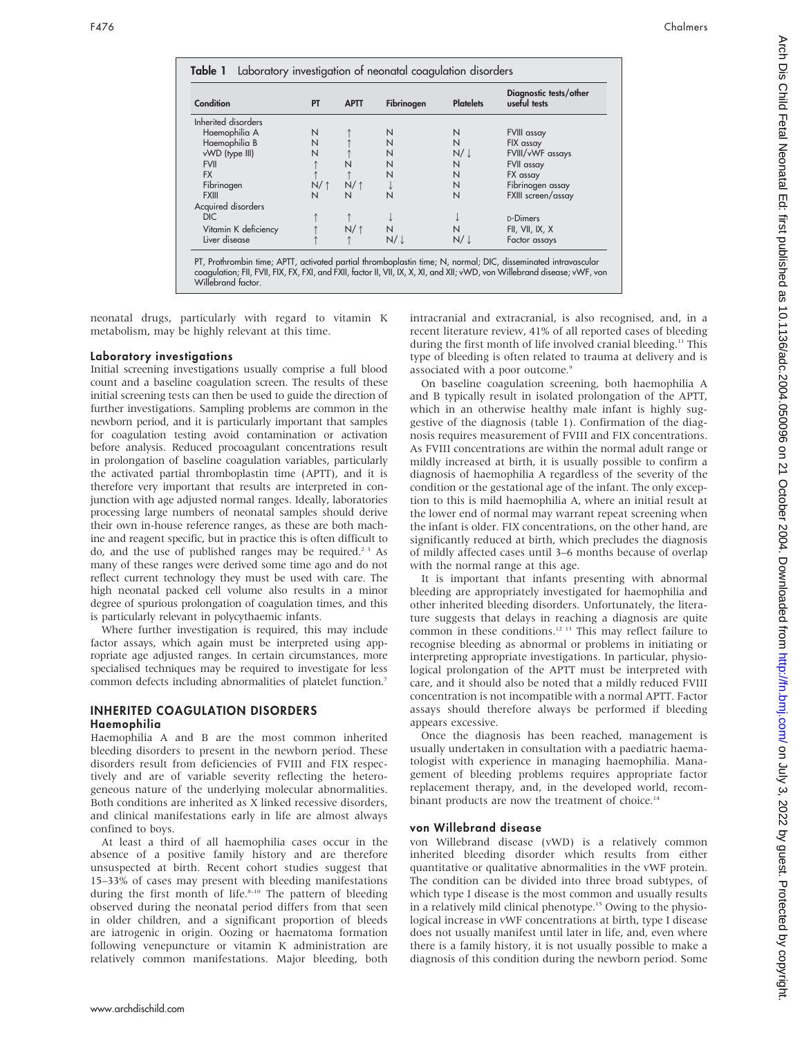| Condition            | PT     | <b>APTT</b>     | Fibrinogen | <b>Platelets</b> | Diagnostic tests/other<br>useful tests |
|----------------------|--------|-----------------|------------|------------------|----------------------------------------|
| Inherited disorders  |        |                 |            |                  |                                        |
| Haemophilia A        | N      |                 | N          | N                | <b>FVIII</b> assay                     |
| Haemophilia B        | N      |                 | N          | N                | FIX assay                              |
| vWD (type III)       | N      |                 | N          | N/L              | FVIII/vWF assays                       |
| <b>FVII</b>          |        | N               | N          | N                | FVII assay                             |
| <b>FX</b>            |        |                 | N          | N                | FX assay                               |
| Fibrinogen           | $N/$ 1 | $N/$ $\uparrow$ |            | N                | Fibrinogen assay                       |
| <b>FXIII</b>         | N      | N               | N          | N                | FXIII screen/assay                     |
| Acquired disorders   |        |                 |            |                  |                                        |
| <b>DIC</b>           |        |                 |            |                  | D-Dimers                               |
| Vitamin K deficiency |        | $N/$ $\uparrow$ | N          | N                | FII, VII, IX, X                        |
| Liver disease        |        |                 | N/L        | N/L              | Factor assays                          |

neonatal drugs, particularly with regard to vitamin K metabolism, may be highly relevant at this time.

#### Laboratory investigations

Initial screening investigations usually comprise a full blood count and a baseline coagulation screen. The results of these initial screening tests can then be used to guide the direction of further investigations. Sampling problems are common in the newborn period, and it is particularly important that samples for coagulation testing avoid contamination or activation before analysis. Reduced procoagulant concentrations result in prolongation of baseline coagulation variables, particularly the activated partial thromboplastin time (APTT), and it is therefore very important that results are interpreted in conjunction with age adjusted normal ranges. Ideally, laboratories processing large numbers of neonatal samples should derive their own in-house reference ranges, as these are both machine and reagent specific, but in practice this is often difficult to do, and the use of published ranges may be required.<sup>23</sup> As many of these ranges were derived some time ago and do not reflect current technology they must be used with care. The high neonatal packed cell volume also results in a minor degree of spurious prolongation of coagulation times, and this is particularly relevant in polycythaemic infants.

Where further investigation is required, this may include factor assays, which again must be interpreted using appropriate age adjusted ranges. In certain circumstances, more specialised techniques may be required to investigate for less common defects including abnormalities of platelet function.7

#### INHERITED COAGULATION DISORDERS Haemophilia

Haemophilia A and B are the most common inherited bleeding disorders to present in the newborn period. These disorders result from deficiencies of FVIII and FIX respectively and are of variable severity reflecting the heterogeneous nature of the underlying molecular abnormalities. Both conditions are inherited as X linked recessive disorders, and clinical manifestations early in life are almost always confined to boys.

At least a third of all haemophilia cases occur in the absence of a positive family history and are therefore unsuspected at birth. Recent cohort studies suggest that 15–33% of cases may present with bleeding manifestations during the first month of life.<sup>8-10</sup> The pattern of bleeding observed during the neonatal period differs from that seen in older children, and a significant proportion of bleeds are iatrogenic in origin. Oozing or haematoma formation following venepuncture or vitamin K administration are relatively common manifestations. Major bleeding, both intracranial and extracranial, is also recognised, and, in a recent literature review, 41% of all reported cases of bleeding during the first month of life involved cranial bleeding.<sup>11</sup> This type of bleeding is often related to trauma at delivery and is associated with a poor outcome.<sup>9</sup>

On baseline coagulation screening, both haemophilia A and B typically result in isolated prolongation of the APTT, which in an otherwise healthy male infant is highly suggestive of the diagnosis (table 1). Confirmation of the diagnosis requires measurement of FVIII and FIX concentrations. As FVIII concentrations are within the normal adult range or mildly increased at birth, it is usually possible to confirm a diagnosis of haemophilia A regardless of the severity of the condition or the gestational age of the infant. The only exception to this is mild haemophilia A, where an initial result at the lower end of normal may warrant repeat screening when the infant is older. FIX concentrations, on the other hand, are significantly reduced at birth, which precludes the diagnosis of mildly affected cases until 3–6 months because of overlap with the normal range at this age.

It is important that infants presenting with abnormal bleeding are appropriately investigated for haemophilia and other inherited bleeding disorders. Unfortunately, the literature suggests that delays in reaching a diagnosis are quite common in these conditions.<sup>12</sup><sup>13</sup> This may reflect failure to recognise bleeding as abnormal or problems in initiating or interpreting appropriate investigations. In particular, physiological prolongation of the APTT must be interpreted with care, and it should also be noted that a mildly reduced FVIII concentration is not incompatible with a normal APTT. Factor assays should therefore always be performed if bleeding appears excessive.

Once the diagnosis has been reached, management is usually undertaken in consultation with a paediatric haematologist with experience in managing haemophilia. Management of bleeding problems requires appropriate factor replacement therapy, and, in the developed world, recombinant products are now the treatment of choice.<sup>14</sup>

#### von Willebrand disease

von Willebrand disease (vWD) is a relatively common inherited bleeding disorder which results from either quantitative or qualitative abnormalities in the vWF protein. The condition can be divided into three broad subtypes, of which type I disease is the most common and usually results in a relatively mild clinical phenotype.<sup>15</sup> Owing to the physiological increase in vWF concentrations at birth, type I disease does not usually manifest until later in life, and, even where there is a family history, it is not usually possible to make a diagnosis of this condition during the newborn period. Some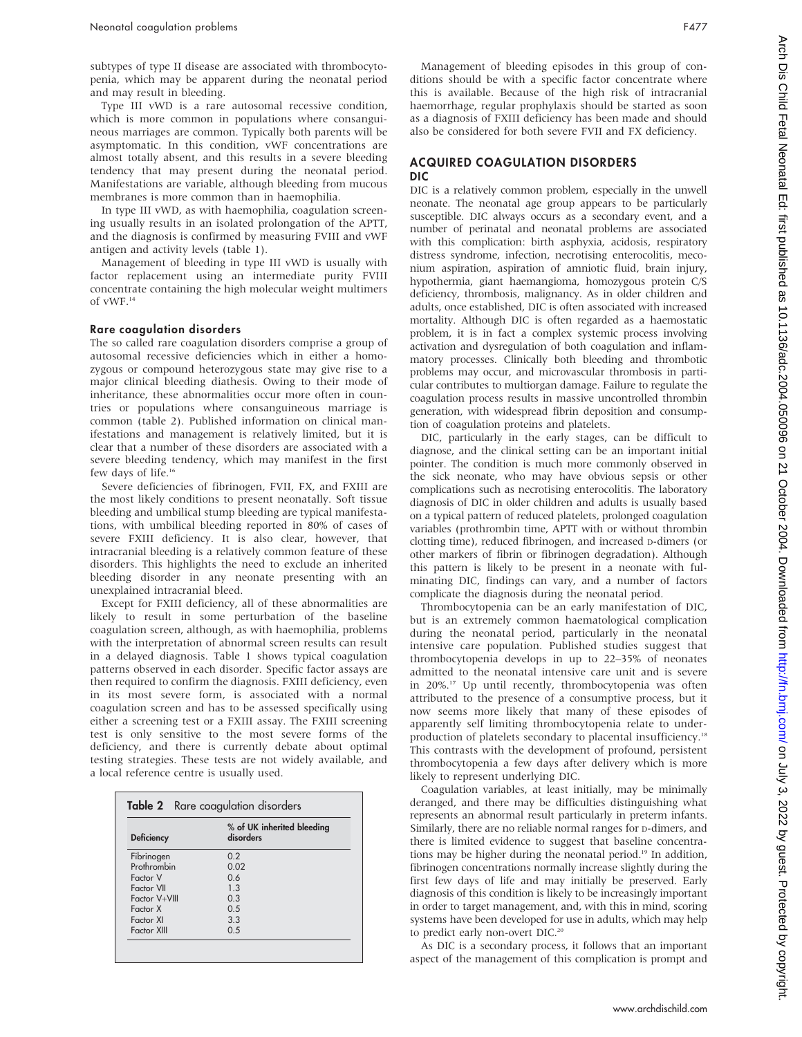subtypes of type II disease are associated with thrombocytopenia, which may be apparent during the neonatal period and may result in bleeding.

Type III vWD is a rare autosomal recessive condition, which is more common in populations where consanguineous marriages are common. Typically both parents will be asymptomatic. In this condition, vWF concentrations are almost totally absent, and this results in a severe bleeding tendency that may present during the neonatal period. Manifestations are variable, although bleeding from mucous membranes is more common than in haemophilia.

In type III vWD, as with haemophilia, coagulation screening usually results in an isolated prolongation of the APTT, and the diagnosis is confirmed by measuring FVIII and vWF antigen and activity levels (table 1).

Management of bleeding in type III vWD is usually with factor replacement using an intermediate purity FVIII concentrate containing the high molecular weight multimers of vWF.14

## Rare coagulation disorders

The so called rare coagulation disorders comprise a group of autosomal recessive deficiencies which in either a homozygous or compound heterozygous state may give rise to a major clinical bleeding diathesis. Owing to their mode of inheritance, these abnormalities occur more often in countries or populations where consanguineous marriage is common (table 2). Published information on clinical manifestations and management is relatively limited, but it is clear that a number of these disorders are associated with a severe bleeding tendency, which may manifest in the first few days of life.<sup>16</sup>

Severe deficiencies of fibrinogen, FVII, FX, and FXIII are the most likely conditions to present neonatally. Soft tissue bleeding and umbilical stump bleeding are typical manifestations, with umbilical bleeding reported in 80% of cases of severe FXIII deficiency. It is also clear, however, that intracranial bleeding is a relatively common feature of these disorders. This highlights the need to exclude an inherited bleeding disorder in any neonate presenting with an unexplained intracranial bleed.

Except for FXIII deficiency, all of these abnormalities are likely to result in some perturbation of the baseline coagulation screen, although, as with haemophilia, problems with the interpretation of abnormal screen results can result in a delayed diagnosis. Table 1 shows typical coagulation patterns observed in each disorder. Specific factor assays are then required to confirm the diagnosis. FXIII deficiency, even in its most severe form, is associated with a normal coagulation screen and has to be assessed specifically using either a screening test or a FXIII assay. The FXIII screening test is only sensitive to the most severe forms of the deficiency, and there is currently debate about optimal testing strategies. These tests are not widely available, and a local reference centre is usually used.

|                   | % of UK inherited bleeding |
|-------------------|----------------------------|
| <b>Deficiency</b> | disorders                  |
| Fibrinogen        | 0 <sub>2</sub>             |
| Prothrombin       | 0.02                       |
| Factor V          | 0 <sub>6</sub>             |
| Factor VII        | 1.3                        |
| Factor V+VIII     | 0.3                        |
| Factor X          | 0.5                        |
| Factor XI         | 3.3                        |
| Factor XIII       | 0.5                        |

Management of bleeding episodes in this group of conditions should be with a specific factor concentrate where this is available. Because of the high risk of intracranial haemorrhage, regular prophylaxis should be started as soon as a diagnosis of FXIII deficiency has been made and should also be considered for both severe FVII and FX deficiency.

# ACQUIRED COAGULATION DISORDERS DIC

DIC is a relatively common problem, especially in the unwell neonate. The neonatal age group appears to be particularly susceptible. DIC always occurs as a secondary event, and a number of perinatal and neonatal problems are associated with this complication: birth asphyxia, acidosis, respiratory distress syndrome, infection, necrotising enterocolitis, meconium aspiration, aspiration of amniotic fluid, brain injury, hypothermia, giant haemangioma, homozygous protein C/S deficiency, thrombosis, malignancy. As in older children and adults, once established, DIC is often associated with increased mortality. Although DIC is often regarded as a haemostatic problem, it is in fact a complex systemic process involving activation and dysregulation of both coagulation and inflammatory processes. Clinically both bleeding and thrombotic problems may occur, and microvascular thrombosis in particular contributes to multiorgan damage. Failure to regulate the coagulation process results in massive uncontrolled thrombin generation, with widespread fibrin deposition and consumption of coagulation proteins and platelets.

DIC, particularly in the early stages, can be difficult to diagnose, and the clinical setting can be an important initial pointer. The condition is much more commonly observed in the sick neonate, who may have obvious sepsis or other complications such as necrotising enterocolitis. The laboratory diagnosis of DIC in older children and adults is usually based on a typical pattern of reduced platelets, prolonged coagulation variables (prothrombin time, APTT with or without thrombin clotting time), reduced fibrinogen, and increased D-dimers (or other markers of fibrin or fibrinogen degradation). Although this pattern is likely to be present in a neonate with fulminating DIC, findings can vary, and a number of factors complicate the diagnosis during the neonatal period.

Thrombocytopenia can be an early manifestation of DIC, but is an extremely common haematological complication during the neonatal period, particularly in the neonatal intensive care population. Published studies suggest that thrombocytopenia develops in up to 22–35% of neonates admitted to the neonatal intensive care unit and is severe in 20%.17 Up until recently, thrombocytopenia was often attributed to the presence of a consumptive process, but it now seems more likely that many of these episodes of apparently self limiting thrombocytopenia relate to underproduction of platelets secondary to placental insufficiency.<sup>18</sup> This contrasts with the development of profound, persistent thrombocytopenia a few days after delivery which is more likely to represent underlying DIC.

Coagulation variables, at least initially, may be minimally deranged, and there may be difficulties distinguishing what represents an abnormal result particularly in preterm infants. Similarly, there are no reliable normal ranges for  $p$ -dimers, and there is limited evidence to suggest that baseline concentrations may be higher during the neonatal period.<sup>19</sup> In addition, fibrinogen concentrations normally increase slightly during the first few days of life and may initially be preserved. Early diagnosis of this condition is likely to be increasingly important in order to target management, and, with this in mind, scoring systems have been developed for use in adults, which may help to predict early non-overt DIC.<sup>20</sup>

As DIC is a secondary process, it follows that an important aspect of the management of this complication is prompt and